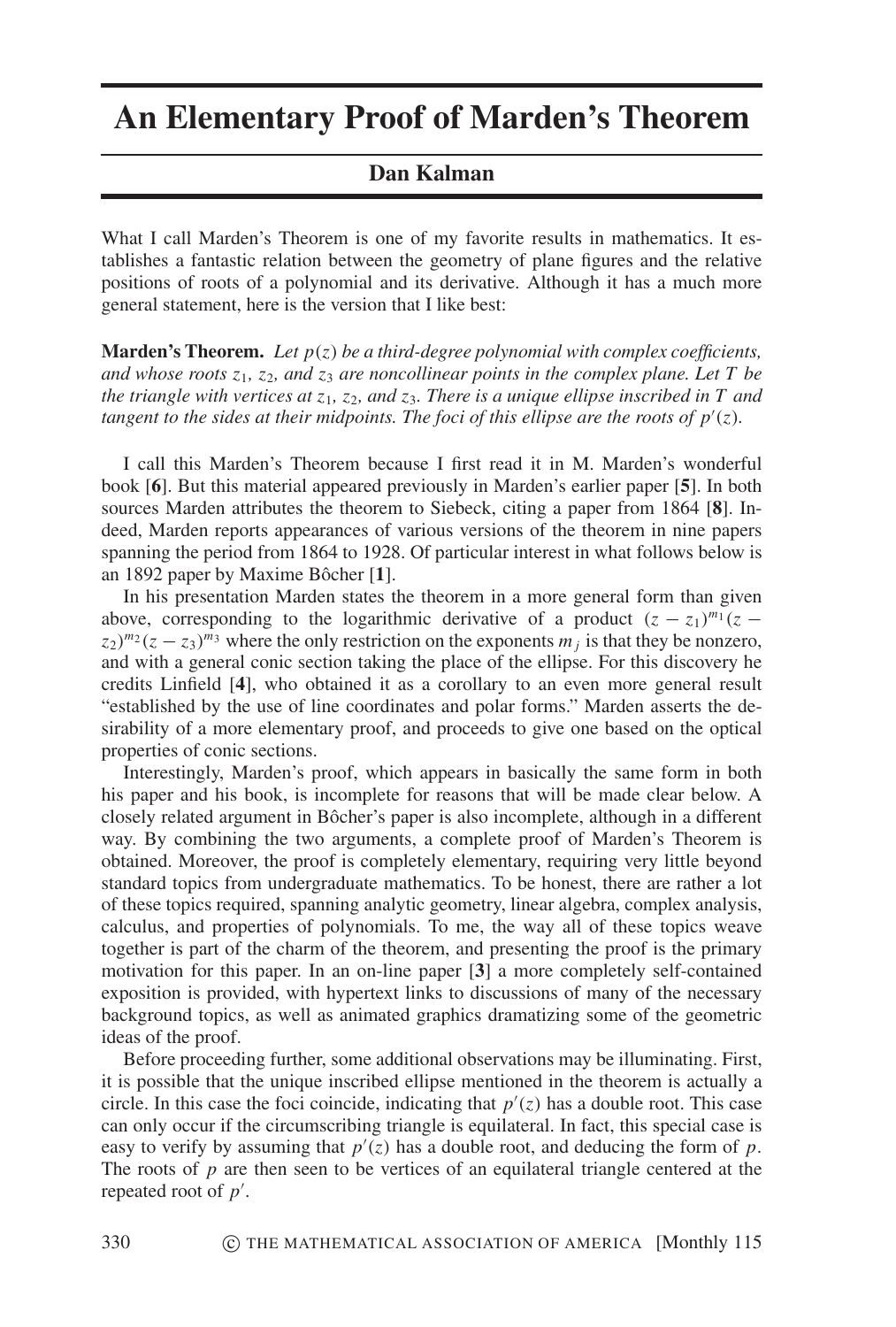## **An Elementary Proof of Marden's Theorem**

## **Dan Kalman**

What I call Marden's Theorem is one of my favorite results in mathematics. It establishes a fantastic relation between the geometry of plane figures and the relative positions of roots of a polynomial and its derivative. Although it has a much more general statement, here is the version that I like best:

**Marden's Theorem.** Let  $p(z)$  be a third-degree polynomial with complex coefficients, and whose roots  $z_1$ ,  $z_2$ , and  $z_3$  are noncollinear points in the complex plane. Let T be the triangle with vertices at  $z_1$ ,  $z_2$ , and  $z_3$ . There is a unique ellipse inscribed in T and tangent to the sides at their midpoints. The foci of this ellipse are the roots of  $p'(z)$ .

I call this Marden's Theorem because I first read it in M. Marden's wonderful book [6]. But this material appeared previously in Marden's earlier paper [5]. In both sources Marden attributes the theorem to Siebeck, citing a paper from 1864 [8]. Indeed, Marden reports appearances of various versions of the theorem in nine papers spanning the period from 1864 to 1928. Of particular interest in what follows below is an 1892 paper by Maxime Bôcher [1].

In his presentation Marden states the theorem in a more general form than given above, corresponding to the logarithmic derivative of a product  $(z - z_1)^{m_1}(z - z_1)^{m_2}$  $(z_2)^{m_2}(z-z_3)^{m_3}$  where the only restriction on the exponents  $m_i$  is that they be nonzero, and with a general conic section taking the place of the ellipse. For this discovery he credits Linfield [4], who obtained it as a corollary to an even more general result "established by the use of line coordinates and polar forms." Marden asserts the desirability of a more elementary proof, and proceeds to give one based on the optical properties of conic sections.

Interestingly, Marden's proof, which appears in basically the same form in both his paper and his book, is incomplete for reasons that will be made clear below. A closely related argument in Bôcher's paper is also incomplete, although in a different way. By combining the two arguments, a complete proof of Marden's Theorem is obtained. Moreover, the proof is completely elementary, requiring very little beyond standard topics from undergraduate mathematics. To be honest, there are rather a lot of these topics required, spanning analytic geometry, linear algebra, complex analysis, calculus, and properties of polynomials. To me, the way all of these topics weave together is part of the charm of the theorem, and presenting the proof is the primary motivation for this paper. In an on-line paper [3] a more completely self-contained exposition is provided, with hypertext links to discussions of many of the necessary background topics, as well as animated graphics dramatizing some of the geometric ideas of the proof.

Before proceeding further, some additional observations may be illuminating. First, it is possible that the unique inscribed ellipse mentioned in the theorem is actually a circle. In this case the foci coincide, indicating that  $p'(z)$  has a double root. This case can only occur if the circumscribing triangle is equilateral. In fact, this special case is easy to verify by assuming that  $p'(z)$  has a double root, and deducing the form of p. The roots of  $p$  are then seen to be vertices of an equilateral triangle centered at the repeated root of  $p'$ .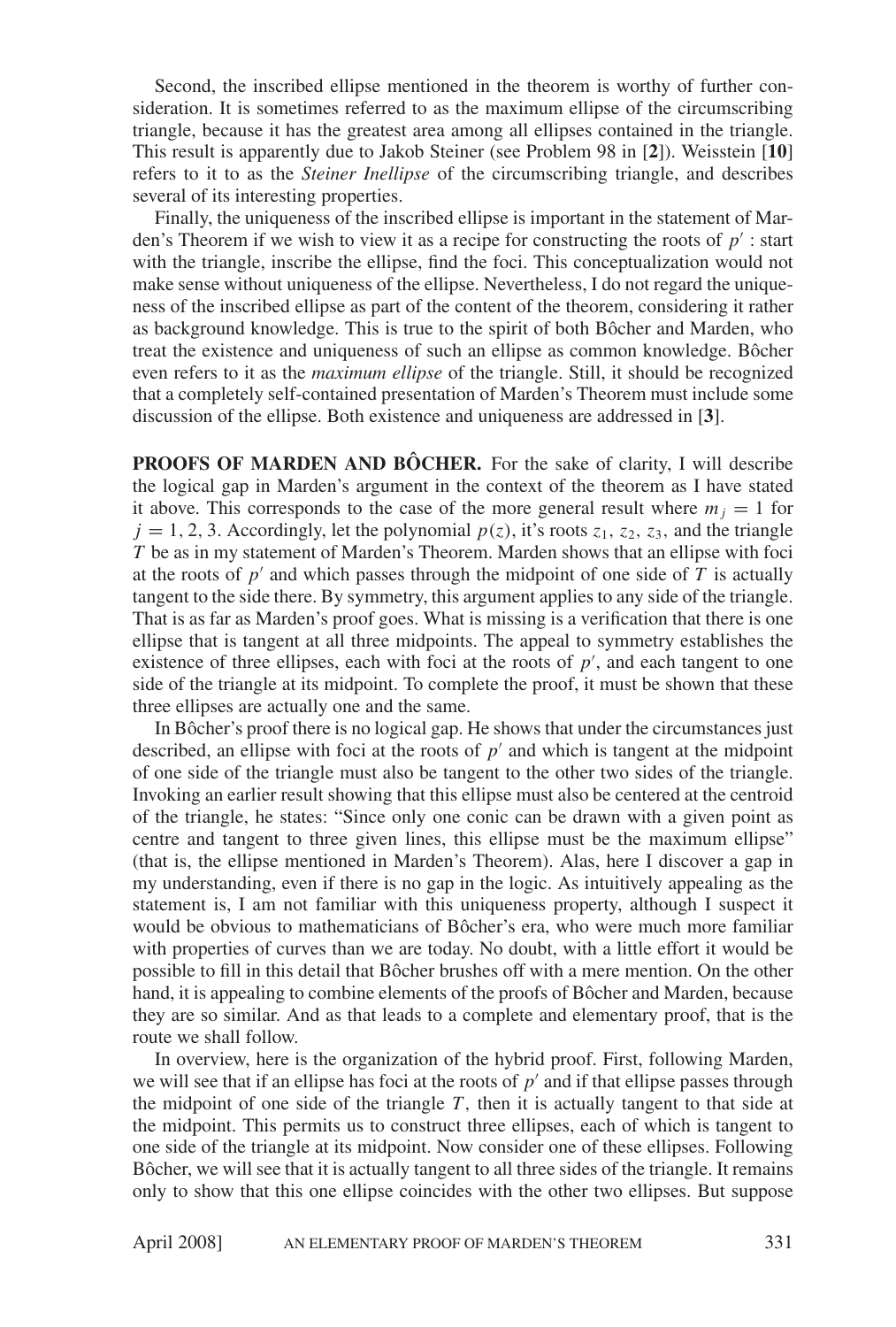Second, the inscribed ellipse mentioned in the theorem is worthy of further consideration. It is sometimes referred to as the maximum ellipse of the circumscribing triangle, because it has the greatest area among all ellipses contained in the triangle. This result is apparently due to Jakob Steiner (see Problem 98 in [2]). Weisstein [10] refers to it to as the *Steiner Inellipse* of the circumscribing triangle, and describes several of its interesting properties.

Finally, the uniqueness of the inscribed ellipse is important in the statement of Marden's Theorem if we wish to view it as a recipe for constructing the roots of  $p'$ : start with the triangle, inscribe the ellipse, find the foci. This conceptualization would not make sense without uniqueness of the ellipse. Nevertheless, I do not regard the uniqueness of the inscribed ellipse as part of the content of the theorem, considering it rather as background knowledge. This is true to the spirit of both Bôcher and Marden, who treat the existence and uniqueness of such an ellipse as common knowledge. Bôcher even refers to it as the *maximum ellipse* of the triangle. Still, it should be recognized that a completely self-contained presentation of Marden's Theorem must include some discussion of the ellipse. Both existence and uniqueness are addressed in [3].

PROOFS OF MARDEN AND BÔCHER. For the sake of clarity, I will describe the logical gap in Marden's argument in the context of the theorem as I have stated it above. This corresponds to the case of the more general result where  $m_i = 1$  for  $j = 1, 2, 3$ . Accordingly, let the polynomial  $p(z)$ , it's roots  $z_1$ ,  $z_2$ ,  $z_3$ , and the triangle T be as in my statement of Marden's Theorem. Marden shows that an ellipse with foci at the roots of  $p'$  and which passes through the midpoint of one side of T is actually tangent to the side there. By symmetry, this argument applies to any side of the triangle. That is as far as Marden's proof goes. What is missing is a verification that there is one ellipse that is tangent at all three midpoints. The appeal to symmetry establishes the existence of three ellipses, each with foci at the roots of  $p'$ , and each tangent to one side of the triangle at its midpoint. To complete the proof, it must be shown that these three ellipses are actually one and the same.

In Bôcher's proof there is no logical gap. He shows that under the circumstances just described, an ellipse with foci at the roots of  $p'$  and which is tangent at the midpoint of one side of the triangle must also be tangent to the other two sides of the triangle. Invoking an earlier result showing that this ellipse must also be centered at the centroid of the triangle, he states: "Since only one conic can be drawn with a given point as centre and tangent to three given lines, this ellipse must be the maximum ellipse" (that is, the ellipse mentioned in Marden's Theorem). Alas, here I discover a gap in my understanding, even if there is no gap in the logic. As intuitively appealing as the statement is, I am not familiar with this uniqueness property, although I suspect it would be obvious to mathematicians of Bôcher's era, who were much more familiar with properties of curves than we are today. No doubt, with a little effort it would be possible to fill in this detail that Bôcher brushes off with a mere mention. On the other hand, it is appealing to combine elements of the proofs of Bôcher and Marden, because they are so similar. And as that leads to a complete and elementary proof, that is the route we shall follow.

In overview, here is the organization of the hybrid proof. First, following Marden, we will see that if an ellipse has foci at the roots of  $p'$  and if that ellipse passes through the midpoint of one side of the triangle  $T$ , then it is actually tangent to that side at the midpoint. This permits us to construct three ellipses, each of which is tangent to one side of the triangle at its midpoint. Now consider one of these ellipses. Following Bôcher, we will see that it is actually tangent to all three sides of the triangle. It remains only to show that this one ellipse coincides with the other two ellipses. But suppose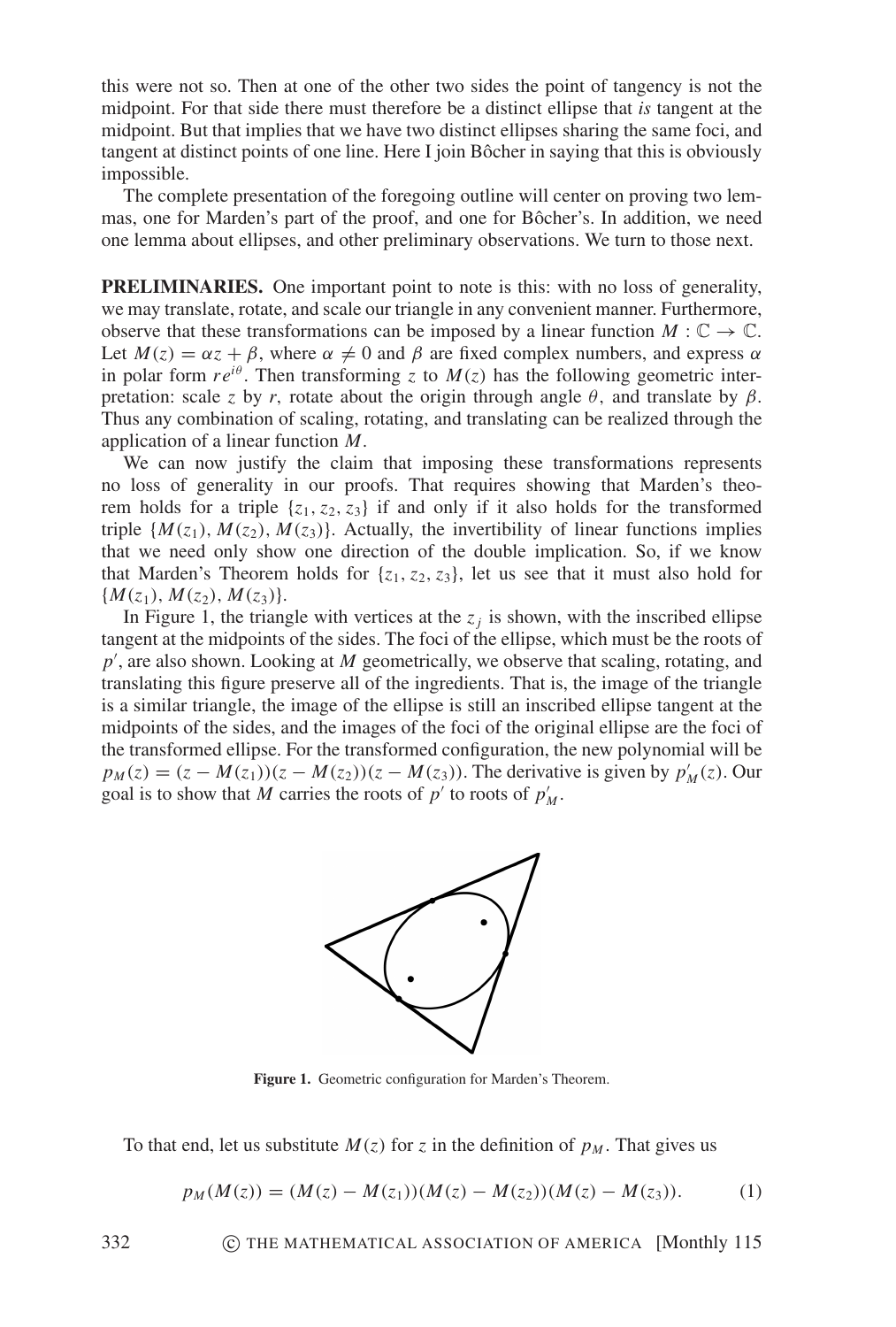this were not so. Then at one of the other two sides the point of tangency is not the midpoint. For that side there must therefore be a distinct ellipse that is tangent at the midpoint. But that implies that we have two distinct ellipses sharing the same foci, and tangent at distinct points of one line. Here I join Bôcher in saying that this is obviously impossible.

The complete presentation of the foregoing outline will center on proving two lemmas, one for Marden's part of the proof, and one for Bôcher's. In addition, we need one lemma about ellipses, and other preliminary observations. We turn to those next.

**PRELIMINARIES.** One important point to note is this: with no loss of generality, we may translate, rotate, and scale our triangle in any convenient manner. Furthermore, observe that these transformations can be imposed by a linear function  $M : \mathbb{C} \to \mathbb{C}$ . Let  $M(z) = \alpha z + \beta$ , where  $\alpha \neq 0$  and  $\beta$  are fixed complex numbers, and express  $\alpha$ in polar form  $re^{i\theta}$ . Then transforming z to  $M(z)$  has the following geometric interpretation: scale z by r, rotate about the origin through angle  $\theta$ , and translate by  $\beta$ . Thus any combination of scaling, rotating, and translating can be realized through the application of a linear function  $M$ .

We can now justify the claim that imposing these transformations represents no loss of generality in our proofs. That requires showing that Marden's theorem holds for a triple  $\{z_1, z_2, z_3\}$  if and only if it also holds for the transformed triple  $\{M(z_1), M(z_2), M(z_3)\}\$ . Actually, the invertibility of linear functions implies that we need only show one direction of the double implication. So, if we know that Marden's Theorem holds for  $\{z_1, z_2, z_3\}$ , let us see that it must also hold for  ${M(z_1), M(z_2), M(z_3)}.$ 

In Figure 1, the triangle with vertices at the  $z_i$  is shown, with the inscribed ellipse tangent at the midpoints of the sides. The foci of the ellipse, which must be the roots of  $p'$ , are also shown. Looking at M geometrically, we observe that scaling, rotating, and translating this figure preserve all of the ingredients. That is, the image of the triangle is a similar triangle, the image of the ellipse is still an inscribed ellipse tangent at the midpoints of the sides, and the images of the foci of the original ellipse are the foci of the transformed ellipse. For the transformed configuration, the new polynomial will be  $p_M(z) = (z - M(z_1))(z - M(z_2))(z - M(z_3))$ . The derivative is given by  $p'_M(z)$ . Our goal is to show that M carries the roots of  $p'$  to roots of  $p'_M$ .



Figure 1. Geometric configuration for Marden's Theorem.

To that end, let us substitute  $M(z)$  for z in the definition of  $p_M$ . That gives us

$$
p_M(M(z)) = (M(z) - M(z_1))(M(z) - M(z_2))(M(z) - M(z_3)).
$$
 (1)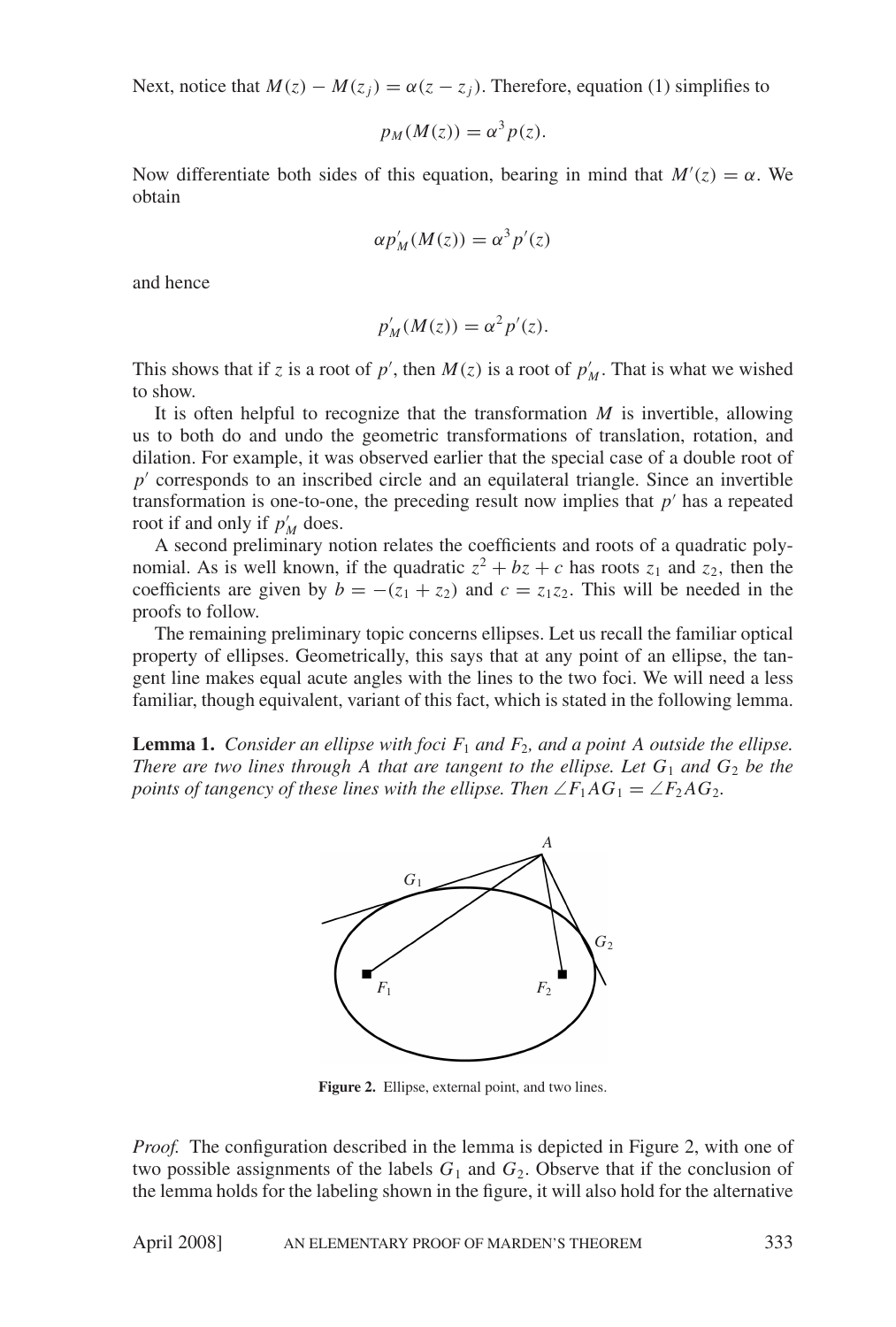Next, notice that  $M(z) - M(z_i) = \alpha(z - z_i)$ . Therefore, equation (1) simplifies to

$$
p_M(M(z)) = \alpha^3 p(z).
$$

Now differentiate both sides of this equation, bearing in mind that  $M'(z) = \alpha$ . We obtain

$$
\alpha p'_M(M(z)) = \alpha^3 p'(z)
$$

and hence

$$
p'_{M}(M(z)) = \alpha^{2} p'(z).
$$

This shows that if z is a root of p', then  $M(z)$  is a root of  $p'_M$ . That is what we wished to show.

It is often helpful to recognize that the transformation  $M$  is invertible, allowing us to both do and undo the geometric transformations of translation, rotation, and dilation. For example, it was observed earlier that the special case of a double root of  $p'$  corresponds to an inscribed circle and an equilateral triangle. Since an invertible transformation is one-to-one, the preceding result now implies that  $p'$  has a repeated root if and only if  $p'_M$  does.

A second preliminary notion relates the coefficients and roots of a quadratic polynomial. As is well known, if the quadratic  $z^2 + bz + c$  has roots  $z_1$  and  $z_2$ , then the coefficients are given by  $b = -(z_1 + z_2)$  and  $c = z_1z_2$ . This will be needed in the proofs to follow.

The remaining preliminary topic concerns ellipses. Let us recall the familiar optical property of ellipses. Geometrically, this says that at any point of an ellipse, the tangent line makes equal acute angles with the lines to the two foci. We will need a less familiar, though equivalent, variant of this fact, which is stated in the following lemma.

**Lemma 1.** Consider an ellipse with foci  $F_1$  and  $F_2$ , and a point A outside the ellipse. There are two lines through A that are tangent to the ellipse. Let  $G_1$  and  $G_2$  be the points of tangency of these lines with the ellipse. Then  $\angle F_1AG_1 = \angle F_2AG_2$ .



Figure 2. Ellipse, external point, and two lines.

*Proof.* The configuration described in the lemma is depicted in Figure 2, with one of two possible assignments of the labels  $G_1$  and  $G_2$ . Observe that if the conclusion of the lemma holds for the labeling shown in the figure, it will also hold for the alternative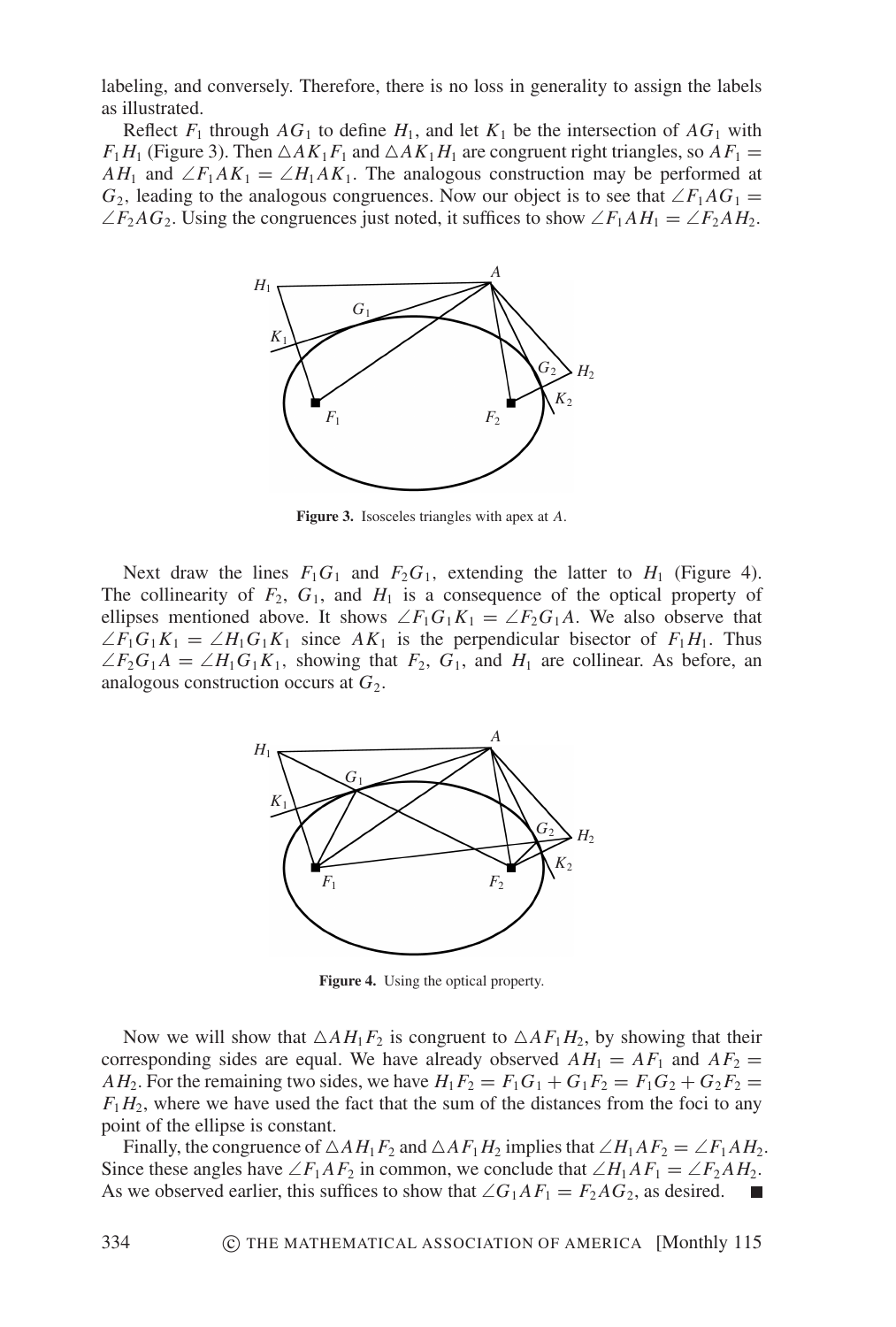labeling, and conversely. Therefore, there is no loss in generality to assign the labels as illustrated.

Reflect  $F_1$  through  $AG_1$  to define  $H_1$ , and let  $K_1$  be the intersection of  $AG_1$  with  $F_1H_1$  (Figure 3). Then  $\triangle AK_1F_1$  and  $\triangle AK_1H_1$  are congruent right triangles, so  $AF_1 =$  $AH_1$  and  $\angle F_1AK_1 = \angle H_1AK_1$ . The analogous construction may be performed at  $G_2$ , leading to the analogous congruences. Now our object is to see that  $\angle F_1 A G_1 =$  $\angle F_2AG_2$ . Using the congruences just noted, it suffices to show  $\angle F_1AH_1 = \angle F_2AH_2$ .



**Figure 3.** Isosceles triangles with apex at A.

Next draw the lines  $F_1G_1$  and  $F_2G_1$ , extending the latter to  $H_1$  (Figure 4). The collinearity of  $F_2$ ,  $G_1$ , and  $H_1$  is a consequence of the optical property of ellipses mentioned above. It shows  $\angle F_1G_1K_1 = \angle F_2G_1A$ . We also observe that  $\angle F_1G_1K_1 = \angle H_1G_1K_1$  since  $AK_1$  is the perpendicular bisector of  $F_1H_1$ . Thus  $\angle F_2G_1A = \angle H_1G_1K_1$ , showing that  $F_2$ ,  $G_1$ , and  $H_1$  are collinear. As before, an analogous construction occurs at  $G_2$ .



Figure 4. Using the optical property.

Now we will show that  $\triangle AH_1F_2$  is congruent to  $\triangle AF_1H_2$ , by showing that their corresponding sides are equal. We have already observed  $AH_1 = AF_1$  and  $AF_2 =$  $AH_2$ . For the remaining two sides, we have  $H_1F_2 = F_1G_1 + G_1F_2 = F_1G_2 + G_2F_2$  $F_1H_2$ , where we have used the fact that the sum of the distances from the foci to any point of the ellipse is constant.

Finally, the congruence of  $\triangle AH_1F_2$  and  $\triangle AF_1H_2$  implies that  $\angle H_1AF_2 = \angle F_1AH_2$ . Since these angles have  $\angle F_1AF_2$  in common, we conclude that  $\angle H_1AF_1 = \angle F_2AH_2$ . As we observed earlier, this suffices to show that  $\angle G_1AF_1 = F_2AG_2$ , as desired.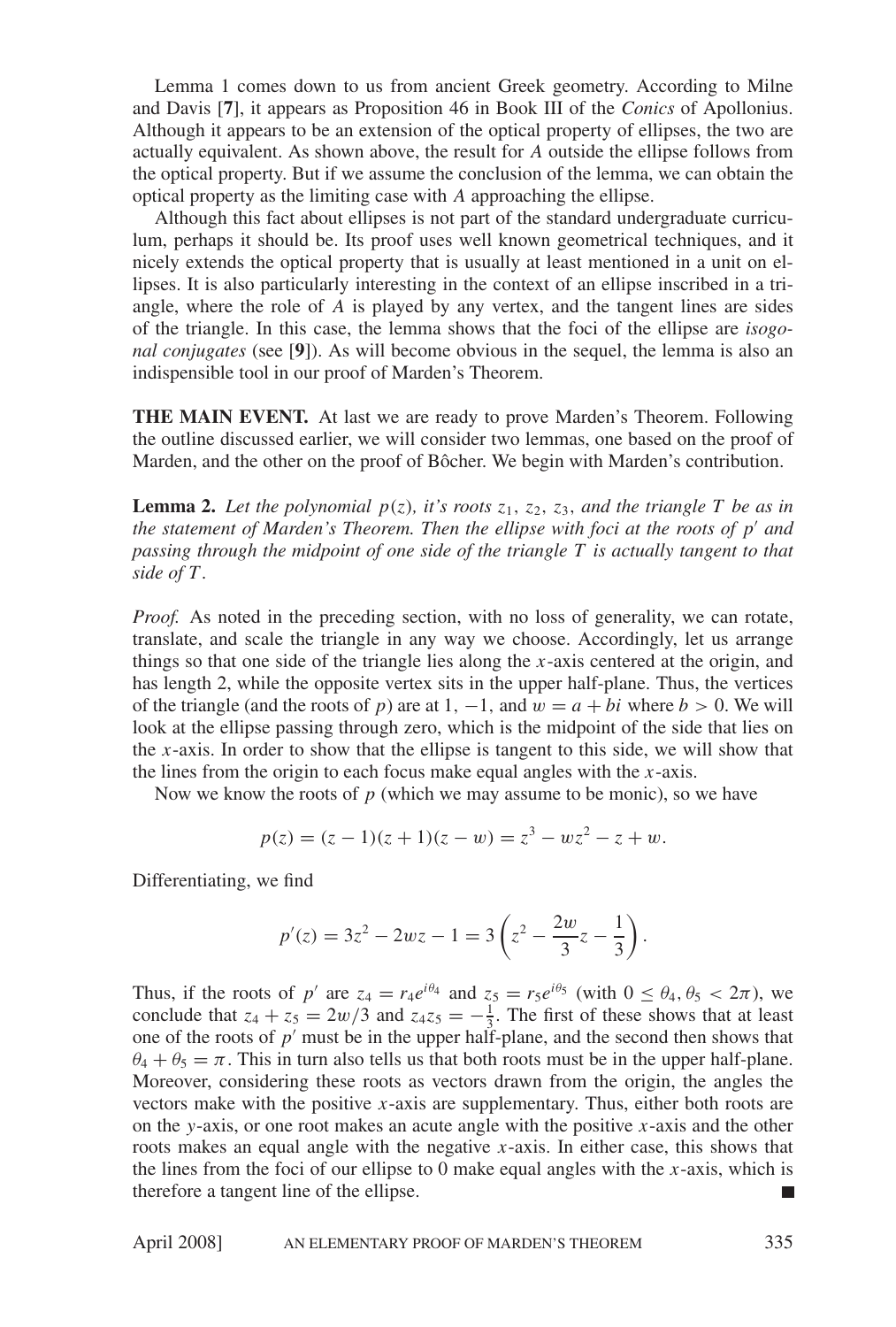Lemma 1 comes down to us from ancient Greek geometry. According to Milne and Davis [7], it appears as Proposition 46 in Book III of the Conics of Apollonius. Although it appears to be an extension of the optical property of ellipses, the two are actually equivalent. As shown above, the result for A outside the ellipse follows from the optical property. But if we assume the conclusion of the lemma, we can obtain the optical property as the limiting case with A approaching the ellipse.

Although this fact about ellipses is not part of the standard undergraduate curriculum, perhaps it should be. Its proof uses well known geometrical techniques, and it nicely extends the optical property that is usually at least mentioned in a unit on ellipses. It is also particularly interesting in the context of an ellipse inscribed in a triangle, where the role of  $\vec{A}$  is played by any vertex, and the tangent lines are sides of the triangle. In this case, the lemma shows that the foci of the ellipse are *isogo*nal conjugates (see [9]). As will become obvious in the sequel, the lemma is also an indispensible tool in our proof of Marden's Theorem.

**THE MAIN EVENT.** At last we are ready to prove Marden's Theorem. Following the outline discussed earlier, we will consider two lemmas, one based on the proof of Marden, and the other on the proof of Bôcher. We begin with Marden's contribution.

**Lemma 2.** Let the polynomial  $p(z)$ , it's roots  $z_1$ ,  $z_2$ ,  $z_3$ , and the triangle T be as in the statement of Marden's Theorem. Then the ellipse with foci at the roots of  $p'$  and passing through the midpoint of one side of the triangle  $T$  is actually tangent to that side of  $T$ .

*Proof.* As noted in the preceding section, with no loss of generality, we can rotate, translate, and scale the triangle in any way we choose. Accordingly, let us arrange things so that one side of the triangle lies along the  $x$ -axis centered at the origin, and has length 2, while the opposite vertex sits in the upper half-plane. Thus, the vertices of the triangle (and the roots of p) are at 1, -1, and  $w = a + bi$  where  $b > 0$ . We will look at the ellipse passing through zero, which is the midpoint of the side that lies on the x-axis. In order to show that the ellipse is tangent to this side, we will show that the lines from the origin to each focus make equal angles with the  $x$ -axis.

Now we know the roots of  $p$  (which we may assume to be monic), so we have

$$
p(z) = (z - 1)(z + 1)(z - w) = z3 - wz2 - z + w.
$$

Differentiating, we find

$$
p'(z) = 3z^2 - 2wz - 1 = 3\left(z^2 - \frac{2w}{3}z - \frac{1}{3}\right).
$$

Thus, if the roots of p' are  $z_4 = r_4 e^{i\theta_4}$  and  $z_5 = r_5 e^{i\theta_5}$  (with  $0 \le \theta_4, \theta_5 < 2\pi$ ), we conclude that  $z_4 + z_5 = 2w/3$  and  $z_4z_5 = -\frac{1}{3}$ . The first of these shows that at least one of the roots of  $p'$  must be in the upper half-plane, and the second then shows that  $\theta_4 + \theta_5 = \pi$ . This in turn also tells us that both roots must be in the upper half-plane. Moreover, considering these roots as vectors drawn from the origin, the angles the vectors make with the positive  $x$ -axis are supplementary. Thus, either both roots are on the y-axis, or one root makes an acute angle with the positive  $x$ -axis and the other roots makes an equal angle with the negative  $x$ -axis. In either case, this shows that the lines from the foci of our ellipse to 0 make equal angles with the  $x$ -axis, which is therefore a tangent line of the ellipse.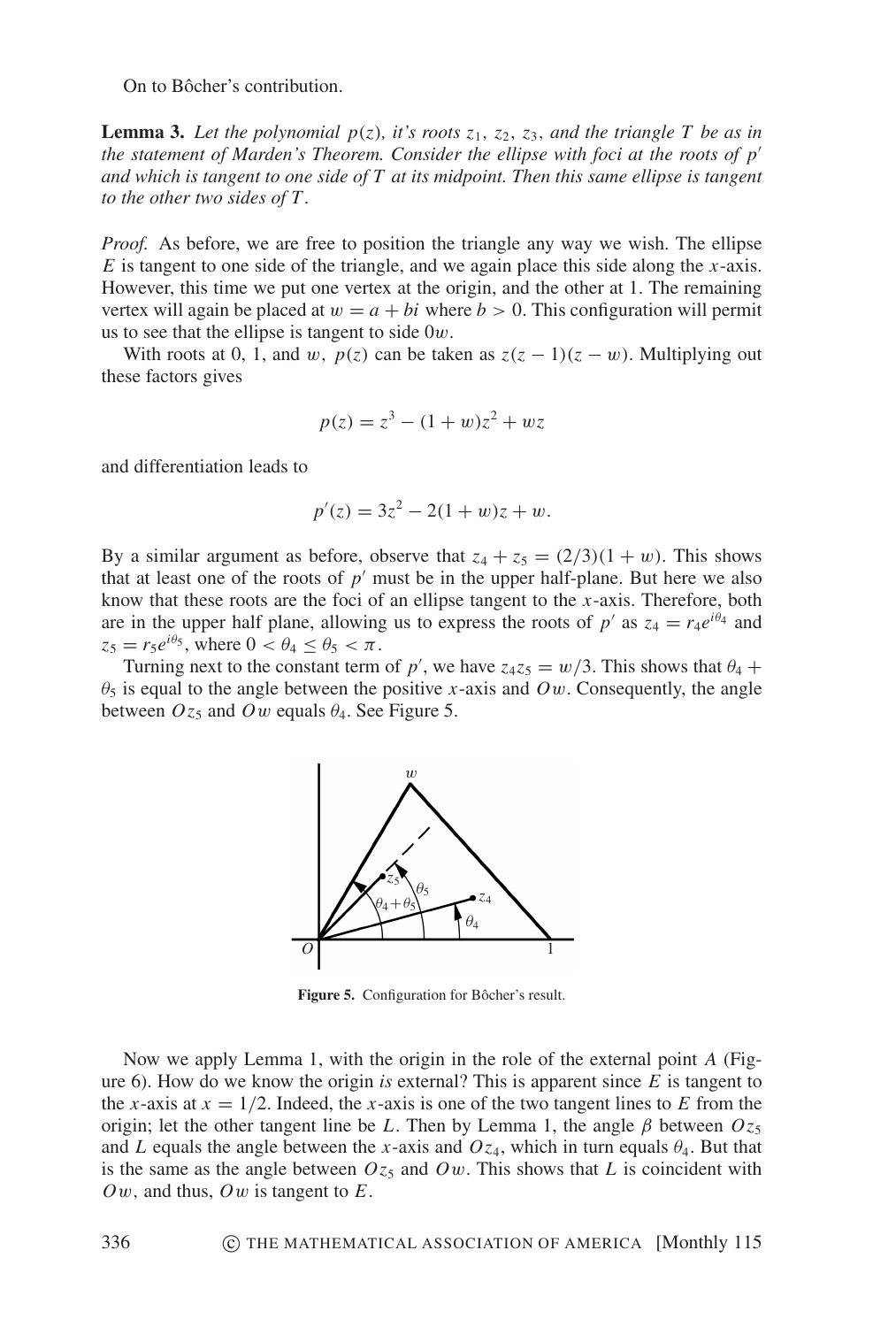On to Bôcher's contribution.

**Lemma 3.** Let the polynomial  $p(z)$ , it's roots  $z_1$ ,  $z_2$ ,  $z_3$ , and the triangle T be as in the statement of Marden's Theorem. Consider the ellipse with foci at the roots of  $p'$ and which is tangent to one side of  $T$  at its midpoint. Then this same ellipse is tangent to the other two sides of  $T$ .

*Proof.* As before, we are free to position the triangle any way we wish. The ellipse  $E$  is tangent to one side of the triangle, and we again place this side along the x-axis. However, this time we put one vertex at the origin, and the other at 1. The remaining vertex will again be placed at  $w = a + bi$  where  $b > 0$ . This configuration will permit us to see that the ellipse is tangent to side  $0w$ .

With roots at 0, 1, and w,  $p(z)$  can be taken as  $z(z - 1)(z - w)$ . Multiplying out these factors gives

$$
p(z) = z^3 - (1 + w)z^2 + wz
$$

and differentiation leads to

$$
p'(z) = 3z^2 - 2(1+w)z + w.
$$

By a similar argument as before, observe that  $z_4 + z_5 = (2/3)(1 + w)$ . This shows that at least one of the roots of  $p'$  must be in the upper half-plane. But here we also know that these roots are the foci of an ellipse tangent to the  $x$ -axis. Therefore, both are in the upper half plane, allowing us to express the roots of p' as  $z_4 = r_4e^{i\theta_4}$  and  $z_5 = r_5 e^{i\theta_5}$ , where  $0 < \theta_4 \le \theta_5 < \pi$ .

Turning next to the constant term of p', we have  $z_4z_5 = w/3$ . This shows that  $\theta_4$  +  $\theta_5$  is equal to the angle between the positive x-axis and Ow. Consequently, the angle between  $Oz_5$  and Ow equals  $\theta_4$ . See Figure 5.



Figure 5. Configuration for Bôcher's result.

Now we apply Lemma 1, with the origin in the role of the external point A (Figure 6). How do we know the origin is external? This is apparent since  $E$  is tangent to the x-axis at  $x = 1/2$ . Indeed, the x-axis is one of the two tangent lines to E from the origin; let the other tangent line be L. Then by Lemma 1, the angle  $\beta$  between  $Oz_5$ and L equals the angle between the x-axis and  $Oz_4$ , which in turn equals  $\theta_4$ . But that is the same as the angle between  $Oz_5$  and  $Ow$ . This shows that L is coincident with  $\Omega w$ , and thus,  $\Omega w$  is tangent to E.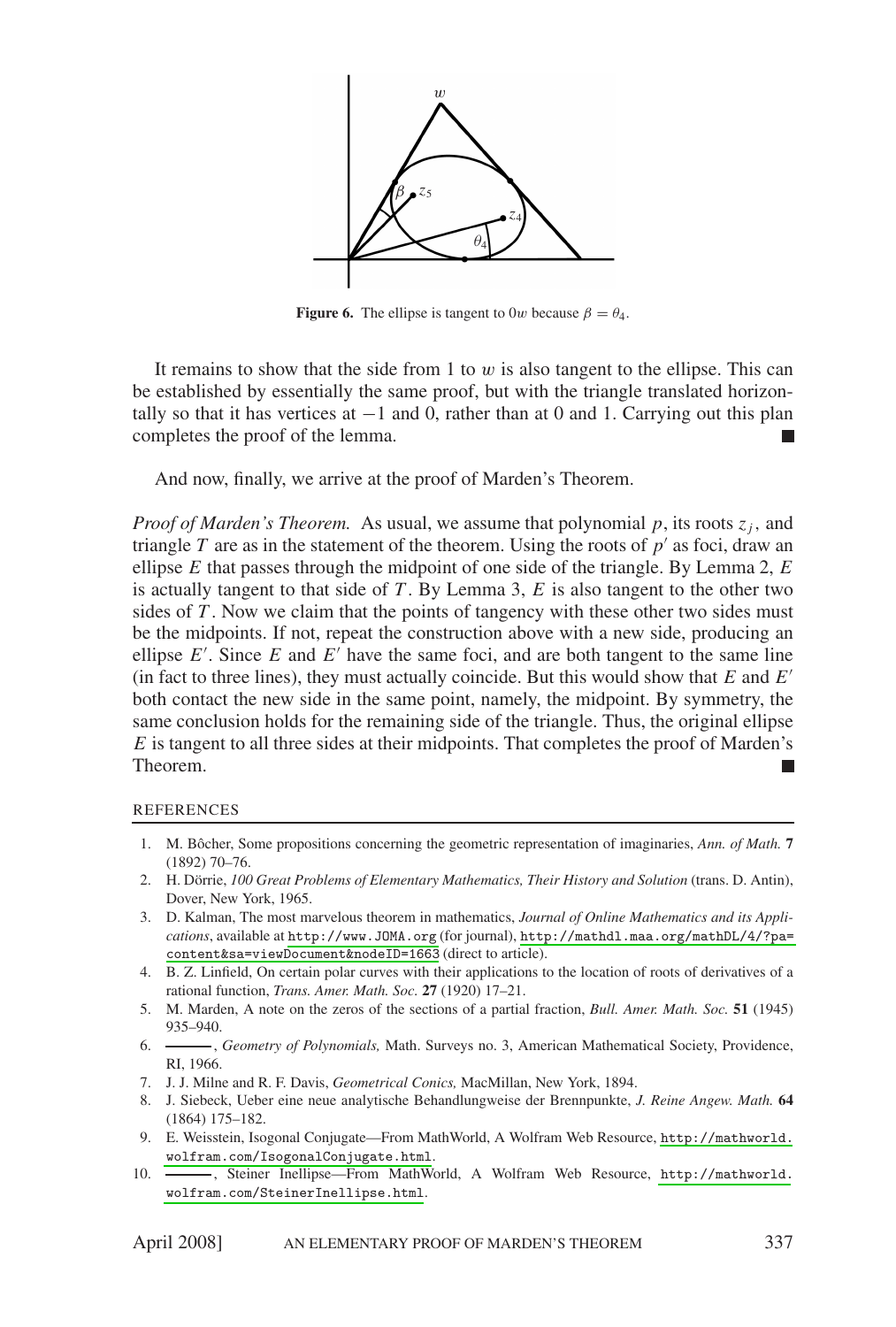

**Figure 6.** The ellipse is tangent to 0w because  $\beta = \theta_4$ .

It remains to show that the side from 1 to  $w$  is also tangent to the ellipse. This can be established by essentially the same proof, but with the triangle translated horizontally so that it has vertices at  $-1$  and 0, rather than at 0 and 1. Carrying out this plan completes the proof of the lemma.  $\blacksquare$ 

And now, finally, we arrive at the proof of Marden's Theorem.

*Proof of Marden's Theorem.* As usual, we assume that polynomial p, its roots  $z_i$ , and triangle T are as in the statement of the theorem. Using the roots of  $p'$  as foci, draw an ellipse  $E$  that passes through the midpoint of one side of the triangle. By Lemma 2,  $E$ is actually tangent to that side of  $T$ . By Lemma 3,  $E$  is also tangent to the other two sides of  $T$ . Now we claim that the points of tangency with these other two sides must be the midpoints. If not, repeat the construction above with a new side, producing an ellipse  $E'$ . Since E and  $E'$  have the same foci, and are both tangent to the same line (in fact to three lines), they must actually coincide. But this would show that  $E$  and  $E'$ both contact the new side in the same point, namely, the midpoint. By symmetry, the same conclusion holds for the remaining side of the triangle. Thus, the original ellipse  $E$  is tangent to all three sides at their midpoints. That completes the proof of Marden's Theorem. I.

## **REFERENCES**

- 1. M. Bôcher, Some propositions concerning the geometric representation of imaginaries, Ann. of Math. 7  $(1892)$  70-76.
- 2. H. Dörrie, 100 Great Problems of Elementary Mathematics, Their History and Solution (trans. D. Antin), Dover, New York, 1965.
- 3. D. Kalman, The most marvelous theorem in mathematics, Journal of Online Mathematics and its Applications, available at http://www.JOMA.org (for journal), http://mathdl.maa.org/mathDL/4/?pa= content&sa=viewDocument&nodeID=1663 (direct to article).
- 4. B. Z. Linfield, On certain polar curves with their applications to the location of roots of derivatives of a rational function, Trans. Amer. Math. Soc. 27 (1920) 17-21.
- 5. M. Marden, A note on the zeros of the sections of a partial fraction, *Bull. Amer. Math. Soc.* 51 (1945)  $935 - 940.$
- $6.$ -, Geometry of Polynomials, Math. Surveys no. 3, American Mathematical Society, Providence, RT. 1966.
- 7. J. J. Milne and R. F. Davis, Geometrical Conics, MacMillan, New York, 1894.
- 8. J. Siebeck, Ueber eine neue analytische Behandlungweise der Brennpunkte, J. Reine Angew. Math. 64  $(1864) 175 - 182.$
- 9. E. Weisstein, Isogonal Conjugate—From MathWorld, A Wolfram Web Resource, http://mathworld. wolfram.com/IsogonalConjugate.html.
- -, Steiner Inellipse-From MathWorld, A Wolfram Web Resource, http://mathworld.  $10.$ wolfram.com/SteinerInellipse.html.